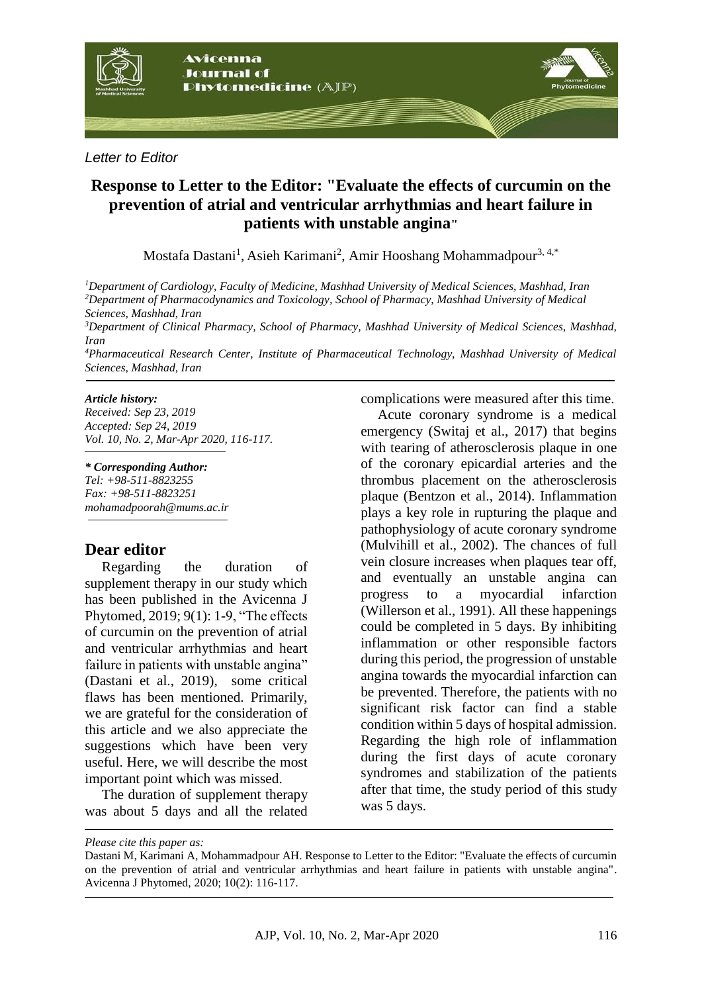

### *Letter to Editor*

# **Response to Letter to the Editor: "Evaluate the effects of curcumin on the prevention of atrial and ventricular arrhythmias and heart failure in patients with unstable angina"**

[Mostafa Dastani](http://ajp.mums.ac.ir/?_action=article&au=43410&_au=Mostafa++Dastani)<sup>[1](http://ajp.mums.ac.ir/article_11294.html#au1)</sup>, [Asieh Karimani](https://www.sciencedirect.com/science/article/pii/S2214750018305328#!)<sup>2</sup>, [Amir Hooshang Mohammadpour](http://ajp.mums.ac.ir/?_action=article&au=42923&_au=Amir+Houshang++Mohammadpour)<sup>3, 4,\*</sup>

*<sup>1</sup>Department of Cardiology, Faculty of Medicine, Mashhad University of Medical Sciences, Mashhad, Iran <sup>2</sup>Department of Pharmacodynamics and Toxicology, School of Pharmacy, Mashhad University of Medical Sciences, Mashhad, Iran*

*<sup>3</sup>Department of Clinical Pharmacy, School of Pharmacy, Mashhad University of Medical Sciences, Mashhad, Iran* 

*<sup>4</sup>Pharmaceutical Research Center, Institute of Pharmaceutical Technology, Mashhad University of Medical Sciences, Mashhad, Iran* 

#### *Article history:*

*Received: Sep 23, 2019 Accepted: Sep 24, 2019 Vol. 10, No. 2, Mar-Apr 2020, 116-117.*

*\* Corresponding Author: Tel: +98-511-8823255 Fax: +98-511-8823251 mohamadpoorah@mums.ac.ir*

## **Dear editor**

Regarding the duration of supplement therapy in our study which has been published in the Avicenna J Phytomed, 2019; 9(1): 1-9, "The effects of curcumin on the prevention of atrial and ventricular arrhythmias and heart failure in patients with unstable angina" (Dastani et al., 2019), some critical flaws has been mentioned. Primarily, we are grateful for the consideration of this article and we also appreciate the suggestions which have been very useful. Here, we will describe the most important point which was missed.

The duration of supplement therapy was about 5 days and all the related

complications were measured after this time.

Acute coronary syndrome is a medical emergency (Switaj et al., 2017) that begins with tearing of atherosclerosis plaque in one of the coronary epicardial arteries and the thrombus placement on the atherosclerosis plaque (Bentzon et al., 2014). Inflammation plays a key role in rupturing the plaque and pathophysiology of acute coronary syndrome (Mulvihill et al., 2002). The chances of full vein closure increases when plaques tear off, and eventually an unstable angina can progress to a myocardial infarction (Willerson et al., 1991). All these happenings could be completed in 5 days. By inhibiting inflammation or other responsible factors during this period, the progression of unstable angina towards the myocardial infarction can be prevented. Therefore, the patients with no significant risk factor can find a stable condition within 5 days of hospital admission. Regarding the high role of inflammation during the first days of acute coronary syndromes and stabilization of the patients after that time, the study period of this study was 5 days.

*Please cite this paper as:*

Dastani M, Karimani A, Mohammadpour AH. Response to Letter to the Editor: "Evaluate the effects of curcumin on the prevention of atrial and ventricular arrhythmias and heart failure in patients with unstable angina". Avicenna J Phytomed, 2020; 10(2): 116-117.